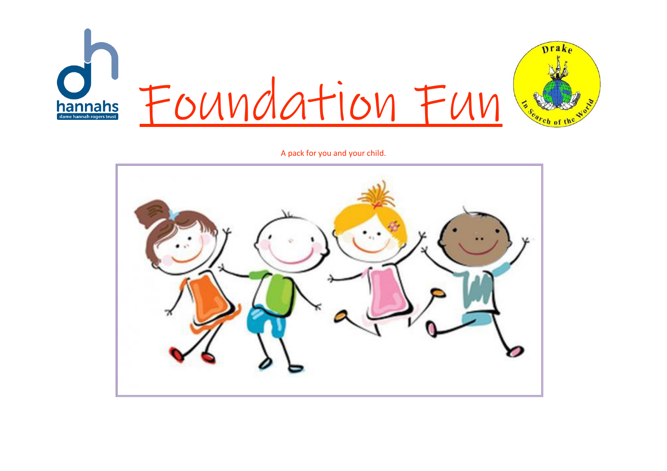

A pack for you and your child.

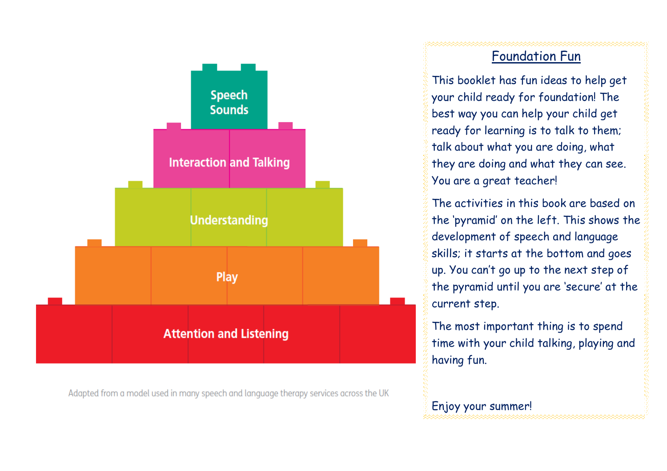

Adapted from a model used in many speech and language therapy services across the UK

## Foundation Fun

This booklet has fun ideas to help get your child ready for foundation! The best way you can help your child get ready for learning is to talk to them; talk about what you are doing, what they are doing and what they can see. You are a great teacher!

The activities in this book are based on the 'pyramid' on the left. This shows the development of speech and language skills; it starts at the bottom and goes up. You can't go up to the next step of the pyramid until you are 'secure' at the current step.

The most important thing is to spend time with your child talking, playing and having fun.

# Enjoy your summer!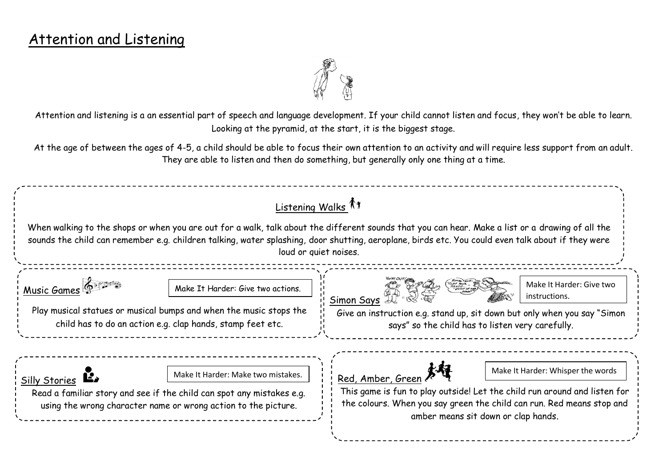# Attention and Listening



Attention and listening is a an essential part of speech and language development. If your child cannot listen and focus, they won't be able to learn. Looking at the pyramid, at the start, it is the biggest stage.

At the age of between the ages of 4-5, a child should be able to focus their own attention to an activity and will require less support from an adult. They are able to listen and then do something, but generally only one thing at a time.

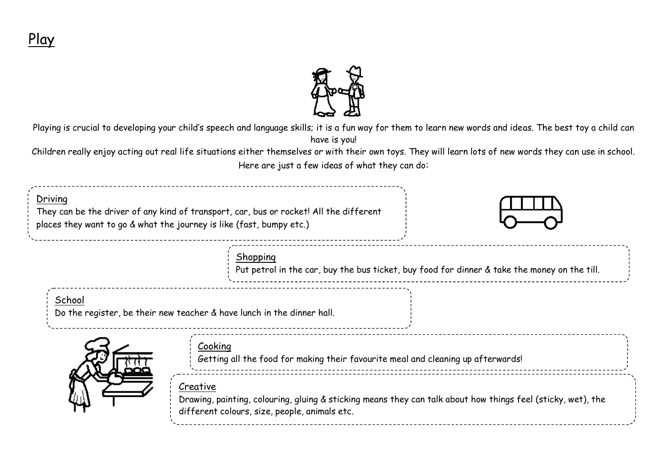

Playing is crucial to developing your child's speech and language skills; it is a fun way for them to learn new words and ideas. The best toy a child can have is you!

Children really enjoy acting out real life situations either themselves or with their own toys. They will learn lots of new words they can use in school. Here are just a few ideas of what they can do:

| Driving | They can be the driver of any kind of transport, car, bus or rocket! All the different<br>places they want to go & what the journey is like (fast, bumpy etc.)            |                                                                                              |
|---------|---------------------------------------------------------------------------------------------------------------------------------------------------------------------------|----------------------------------------------------------------------------------------------|
|         | <b>Shopping</b>                                                                                                                                                           | Put petrol in the car, buy the bus ticket, buy food for dinner & take the money on the till. |
| School  | Do the register, be their new teacher & have lunch in the dinner hall.                                                                                                    |                                                                                              |
|         | Cooking<br>Getting all the food for making their favourite meal and cleaning up afterwards!                                                                               |                                                                                              |
|         | Creative<br>Drawing, painting, colouring, gluing & sticking means they can talk about how things feel (sticky, wet), the<br>different colours, size, people, animals etc. |                                                                                              |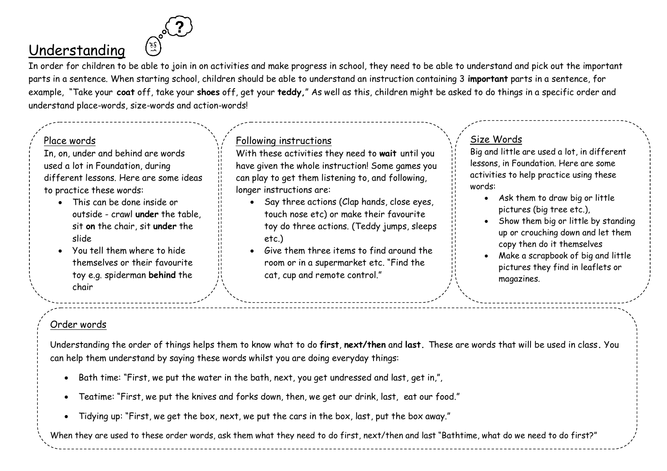# Understanding

In order for children to be able to join in on activities and make progress in school, they need to be able to understand and pick out the important parts in a sentence. When starting school, children should be able to understand an instruction containing 3 **important** parts in a sentence, for example, "Take your **coat** off, take your **shoes** off, get your **teddy,**" As well as this, children might be asked to do things in a specific order and understand place-words, size-words and action-words!

### Place words

In, on, under and behind are words used a lot in Foundation, during different lessons. Here are some ideas to practice these words:

- This can be done inside or outside - crawl **under** the table, sit **on** the chair, sit **under** the slide
- You tell them where to hide themselves or their favourite toy e.g. spiderman **behind** the chair

### Following instructions

With these activities they need to **wait** until you have given the whole instruction! Some games you can play to get them listening to, and following, longer instructions are:

- Say three actions (Clap hands, close eyes, touch nose etc) or make their favourite toy do three actions. (Teddy jumps, sleeps etc.)
- Give them three items to find around the room or in a supermarket etc. "Find the cat, cup and remote control."

### Size Words

Big and little are used a lot, in different lessons, in Foundation. Here are some activities to help practice using these words:

- Ask them to draw big or little pictures (big tree etc.),
- Show them big or little by standing up or crouching down and let them copy then do it themselves
- Make a scrapbook of big and little pictures they find in leaflets or magazines.

### Order words

Understanding the order of things helps them to know what to do **first**, **next/then** and **last.** These are words that will be used in class**.** You can help them understand by saying these words whilst you are doing everyday things:

- Bath time: "First, we put the water in the bath, next, you get undressed and last, get in,",
- Teatime: "First, we put the knives and forks down, then, we get our drink, last, eat our food."
- Tidying up: "First, we get the box, next, we put the cars in the box, last, put the box away."

When they are used to these order words, ask them what they need to do first, next/then and last "Bathtime, what do we need to do first?"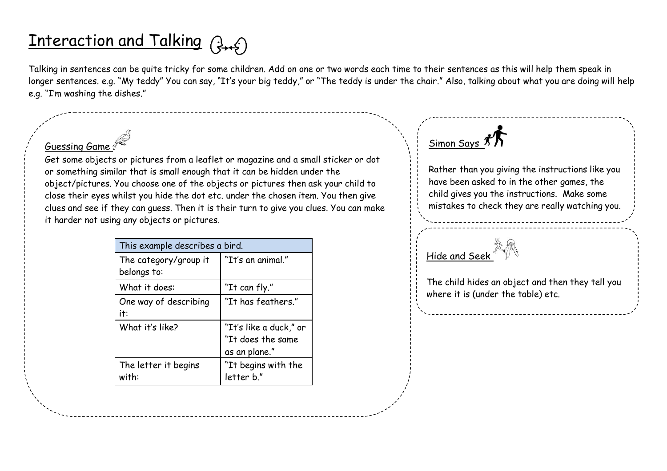# Interaction and Talking (fight)

Talking in sentences can be quite tricky for some children. Add on one or two words each time to their sentences as this will help them speak in longer sentences. e.g. "My teddy" You can say, "It's your big teddy," or "The teddy is under the chair." Also, talking about what you are doing will help e.g. "I'm washing the dishes."

### Guessing Game

Get some objects or pictures from a leaflet or magazine and a small sticker or dot or something similar that is small enough that it can be hidden under the object/pictures. You choose one of the objects or pictures then ask your child to close their eyes whilst you hide the dot etc. under the chosen item. You then give clues and see if they can guess. Then it is their turn to give you clues. You can make it harder not using any objects or pictures.

| This example describes a bird.       |                                                              |  |  |
|--------------------------------------|--------------------------------------------------------------|--|--|
| The category/group it<br>belongs to: | "It's an animal."                                            |  |  |
| What it does:                        | "It can fly."                                                |  |  |
| One way of describing<br>it:         | "It has feathers."                                           |  |  |
| What it's like?                      | "It's like a duck," or<br>"It does the same<br>as an plane." |  |  |
| The letter it begins<br>with:        | "It begins with the<br>letter b."                            |  |  |



Rather than you giving the instructions like you have been asked to in the other games, the child gives you the instructions. Make some mistakes to check they are really watching you.

# Hide and Seek

The child hides an object and then they tell you where it is (under the table) etc.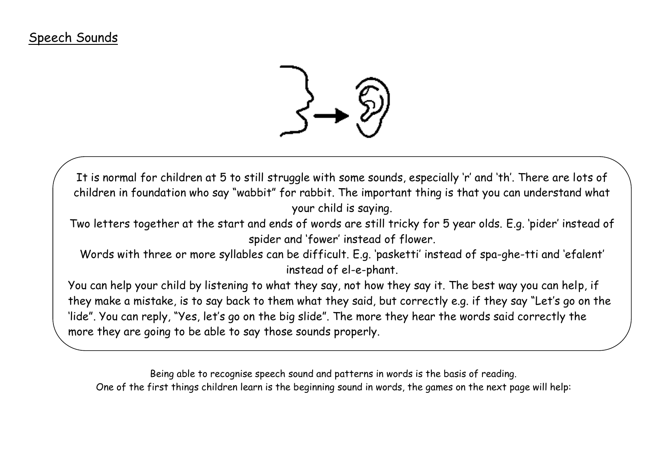

It is normal for children at 5 to still struggle with some sounds, especially 'r' and 'th'. There are lots of children in foundation who say "wabbit" for rabbit. The important thing is that you can understand what your child is saying.

Two letters together at the start and ends of words are still tricky for 5 year olds. E.g. 'pider' instead of spider and 'fower' instead of flower.

Words with three or more syllables can be difficult. E.g. 'pasketti' instead of spa-ghe-tti and 'efalent' instead of el-e-phant.

You can help your child by listening to what they say, not how they say it. The best way you can help, if they make a mistake, is to say back to them what they said, but correctly e.g. if they say "Let's go on the 'lide". You can reply, "Yes, let's go on the big slide". The more they hear the words said correctly the more they are going to be able to say those sounds properly.

Being able to recognise speech sound and patterns in words is the basis of reading. One of the first things children learn is the beginning sound in words, the games on the next page will help: